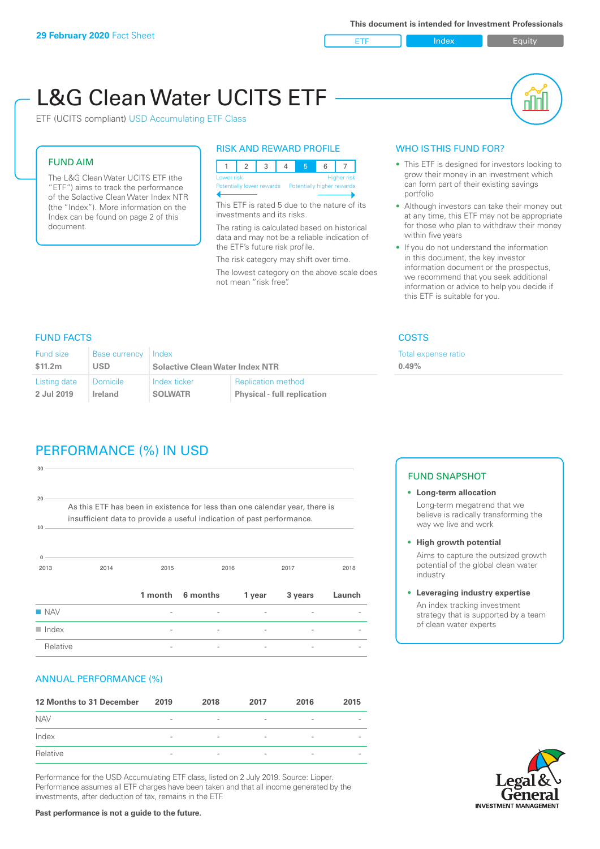ETF Index Builty

# L&G Clean Water UCITS ETF



ETF (UCITS compliant) USD Accumulating ETF Class

#### FUND AIM

The L&G Clean Water UCITS ETF (the "ETF") aims to track the performance of the Solactive Clean Water Index NTR (the "Index"). More information on the Index can be found on page 2 of this document.

#### RISK AND REWARD PROFILE

| Lower risk<br><b>Higher risk</b> |                                                      |  |  |  |  |  |  |  |
|----------------------------------|------------------------------------------------------|--|--|--|--|--|--|--|
|                                  | Potentially lower rewards Potentially higher rewards |  |  |  |  |  |  |  |
|                                  |                                                      |  |  |  |  |  |  |  |

This ETF is rated 5 due to the nature of its investments and its risks.

The rating is calculated based on historical data and may not be a reliable indication of the ETF's future risk profile.

The risk category may shift over time. The lowest category on the above scale does not mean "risk free".

#### WHO IS THIS FUND FOR?

- This ETF is designed for investors looking to grow their money in an investment which can form part of their existing savings portfolio
- Although investors can take their money out at any time, this ETF may not be appropriate for those who plan to withdraw their money within five years
- If you do not understand the information in this document, the key investor information document or the prospectus, we recommend that you seek additional information or advice to help you decide if this ETF is suitable for you.

xpense ratio

#### FUND FACTS COSTS

| <b>Fund size</b><br>Base currency   Index<br>\$11.2m<br>USD |              |                                        |                                    | Total ex<br>0.49% |  |
|-------------------------------------------------------------|--------------|----------------------------------------|------------------------------------|-------------------|--|
|                                                             |              | <b>Solactive Clean Water Index NTR</b> |                                    |                   |  |
| Listing date                                                | ∣ Domicile i | Index ticker                           | <b>Replication method</b>          |                   |  |
| 2 Jul 2019                                                  | Ireland      | <b>SOLWATR</b>                         | <b>Physical - full replication</b> |                   |  |

## PERFORMANCE (%) IN USD

| 30                   |                                                                                                                                                      |         |          |        |         |        |
|----------------------|------------------------------------------------------------------------------------------------------------------------------------------------------|---------|----------|--------|---------|--------|
| 20<br>10             | As this ETF has been in existence for less than one calendar year, there is<br>insufficient data to provide a useful indication of past performance. |         |          |        |         |        |
| $\Omega$<br>2013     | 2014                                                                                                                                                 | 2015    |          | 2016   | 2017    | 2018   |
|                      |                                                                                                                                                      | 1 month | 6 months | 1 year | 3 years | Launch |
| $\blacksquare$ NAV   |                                                                                                                                                      |         |          |        |         |        |
| $\blacksquare$ Index |                                                                                                                                                      |         |          |        |         |        |
| Relative             |                                                                                                                                                      |         |          |        |         |        |

#### ANNUAL PERFORMANCE (%)

| 12 Months to 31 December | 2019                     | 2018                     | 2017                     | 2016                     | 2015                     |
|--------------------------|--------------------------|--------------------------|--------------------------|--------------------------|--------------------------|
| <b>NAV</b>               | $\qquad \qquad$          | $\overline{\phantom{a}}$ | $\overline{\phantom{a}}$ | $\overline{\phantom{a}}$ | $\overline{\phantom{a}}$ |
| Index                    | $\qquad \qquad$          | $\overline{\phantom{a}}$ | $\qquad \qquad$          | $\qquad \qquad$          | $\overline{\phantom{a}}$ |
| Relative                 | $\overline{\phantom{a}}$ | $\overline{\phantom{a}}$ | $\overline{\phantom{a}}$ | $\sim$                   | $\overline{\phantom{a}}$ |

Performance for the USD Accumulating ETF class, listed on 2 July 2019. Source: Lipper. Performance assumes all ETF charges have been taken and that all income generated by the investments, after deduction of tax, remains in the ETF.

#### FUND SNAPSHOT

- **• Long-term allocation** Long-term megatrend that we believe is radically transforming the way we live and work
- **• High growth potential** Aims to capture the outsized growth potential of the global clean water
- industry **• Leveraging industry expertise**

An index tracking investment strategy that is supported by a team of clean water experts



**Past performance is not a guide to the future.**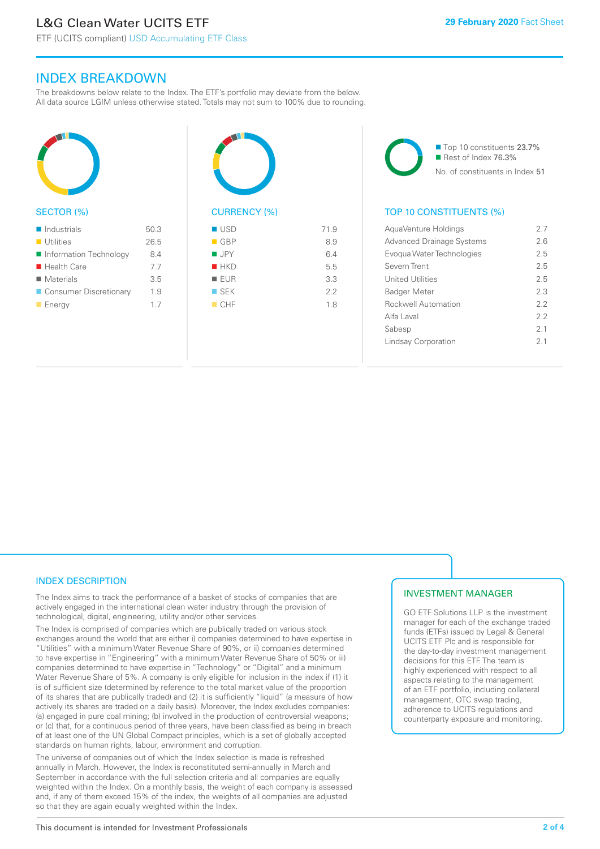ETF (UCITS compliant) USD Accumulating ETF Class

### INDEX BREAKDOWN

The breakdowns below relate to the Index. The ETF's portfolio may deviate from the below. All data source LGIM unless otherwise stated. Totals may not sum to 100% due to rounding.



#### SECTOR (%)

| $\blacksquare$ Industrials | 50.3 |
|----------------------------|------|
| $\blacksquare$ Utilities   | 26.5 |
| Information Technology     | 8.4  |
| $\blacksquare$ Health Care | 7.7  |
| $\blacksquare$ Materials   | 3.5  |
| ■ Consumer Discretionary   | 1.9  |
| $\blacksquare$ Energy      | 17   |



| $\blacksquare$ GBP | 8.9 |
|--------------------|-----|
| $\blacksquare$ JPY | 6.4 |
| $H$ HKD            | 5.5 |
| EUR                | 3.3 |
| $\blacksquare$ SEK | 2.2 |
| CHF                | 1.8 |
|                    |     |

■ Top 10 constituents 23.7% Rest of Index 76.3% No. of constituents in Index 51

#### TOP 10 CONSTITUENTS (%)

| AquaVenture Holdings             | 27             |
|----------------------------------|----------------|
| <b>Advanced Drainage Systems</b> | 26             |
| Evogua Water Technologies        | 25             |
| Severn Trent                     | 25             |
| United Utilities                 | 25             |
| <b>Badger Meter</b>              | 2.3            |
| <b>Rockwell Automation</b>       | 2.2            |
| Alfa Laval                       | 22             |
| Sabesp                           | 21             |
| Lindsay Corporation              | 2 <sub>1</sub> |
|                                  |                |

#### INDEX DESCRIPTION

The Index aims to track the performance of a basket of stocks of companies that are actively engaged in the international clean water industry through the provision of technological, digital, engineering, utility and/or other services.

The Index is comprised of companies which are publically traded on various stock exchanges around the world that are either i) companies determined to have expertise in "Utilities" with a minimum Water Revenue Share of 90%, or ii) companies determined to have expertise in "Engineering" with a minimum Water Revenue Share of 50% or iii) companies determined to have expertise in "Technology" or "Digital" and a minimum Water Revenue Share of 5%. A company is only eligible for inclusion in the index if (1) it is of sufficient size (determined by reference to the total market value of the proportion of its shares that are publically traded) and (2) it is sufficiently "liquid" (a measure of how actively its shares are traded on a daily basis). Moreover, the Index excludes companies: (a) engaged in pure coal mining; (b) involved in the production of controversial weapons; or (c) that, for a continuous period of three years, have been classified as being in breach of at least one of the UN Global Compact principles, which is a set of globally accepted standards on human rights, labour, environment and corruption.

The universe of companies out of which the Index selection is made is refreshed annually in March. However, the Index is reconstituted semi-annually in March and September in accordance with the full selection criteria and all companies are equally weighted within the Index. On a monthly basis, the weight of each company is assessed and, if any of them exceed 15% of the index, the weights of all companies are adjusted so that they are again equally weighted within the Index.

#### INVESTMENT MANAGER

GO ETF Solutions LLP is the investment manager for each of the exchange traded funds (ETFs) issued by Legal & General UCITS ETF Plc and is responsible for the day-to-day investment management decisions for this ETF. The team is highly experienced with respect to all aspects relating to the management of an ETF portfolio, including collateral management, OTC swap trading, adherence to UCITS regulations and counterparty exposure and monitoring.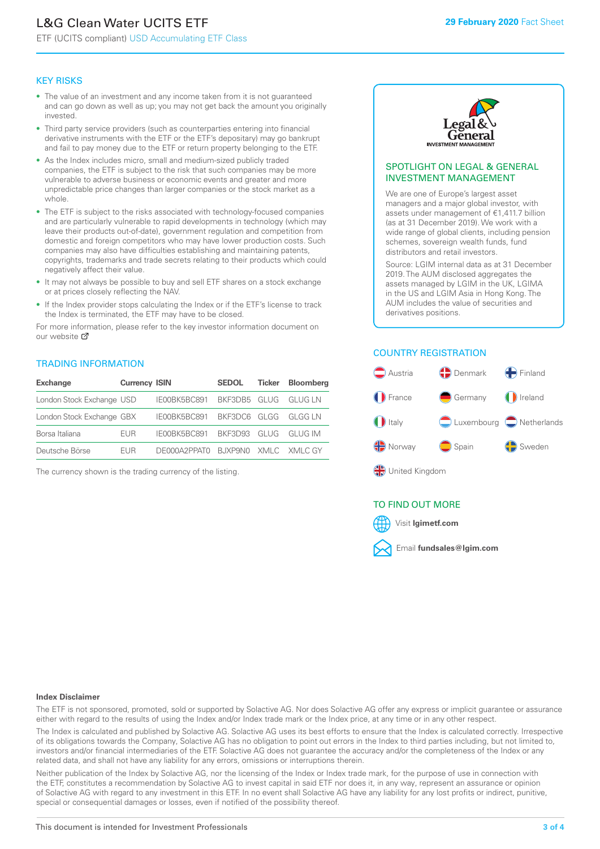# L&G Clean Water UCITS ETF

ETF (UCITS compliant) USD Accumulating ETF Class

#### KEY RISKS

- The value of an investment and any income taken from it is not guaranteed and can go down as well as up; you may not get back the amount you originally invested.
- Third party service providers (such as counterparties entering into financial derivative instruments with the ETF or the ETF's depositary) may go bankrupt and fail to pay money due to the ETF or return property belonging to the ETF.
- As the Index includes micro, small and medium-sized publicly traded companies, the ETF is subject to the risk that such companies may be more vulnerable to adverse business or economic events and greater and more unpredictable price changes than larger companies or the stock market as a whole.
- The ETF is subject to the risks associated with technology-focused companies and are particularly vulnerable to rapid developments in technology (which may leave their products out-of-date), government regulation and competition from domestic and foreign competitors who may have lower production costs. Such companies may also have difficulties establishing and maintaining patents, copyrights, trademarks and trade secrets relating to their products which could negatively affect their value.
- It may not always be possible to buy and sell ETF shares on a stock exchange or at prices closely reflecting the NAV.
- If the Index provider stops calculating the Index or if the ETF's license to track the Index is terminated, the ETF may have to be closed.

For more information, please refer to the key investor information document on our website Ø

#### TRADING INFORMATION

| <b>Exchange</b>           | <b>Currency ISIN</b> |                                   | <b>SEDOL</b> | Ticker | <b>Bloomberg</b> |
|---------------------------|----------------------|-----------------------------------|--------------|--------|------------------|
| London Stock Exchange USD |                      | IE00BK5BC891 BKF3DB5 GLUG GLUG LN |              |        |                  |
| London Stock Exchange GBX |                      | IE00BK5BC891 BKF3DC6 GLGG GLGG LN |              |        |                  |
| Borsa Italiana            | <b>FUR</b>           | IE00BK5BC891 BKF3D93 GLUG GLUG IM |              |        |                  |
| Deutsche Börse            | FUR.                 | DE000A2PPATO BJXP9NO XMLC XMLCGY  |              |        |                  |

The currency shown is the trading currency of the listing.



#### SPOTLIGHT ON LEGAL & GENERAL INVESTMENT MANAGEMENT

We are one of Europe's largest asset managers and a major global investor, with assets under management of €1,411.7 billion (as at 31 December 2019). We work with a wide range of global clients, including pension schemes, sovereign wealth funds, fund distributors and retail investors.

Source: LGIM internal data as at 31 December 2019. The AUM disclosed aggregates the assets managed by LGIM in the UK, LGIMA in the US and LGIM Asia in Hong Kong. The AUM includes the value of securities and derivatives positions.

#### COUNTRY REGISTRATION



#### TO FIND OUT MORE



#### **Index Disclaimer**

The ETF is not sponsored, promoted, sold or supported by Solactive AG. Nor does Solactive AG offer any express or implicit guarantee or assurance either with regard to the results of using the Index and/or Index trade mark or the Index price, at any time or in any other respect.

The Index is calculated and published by Solactive AG. Solactive AG uses its best efforts to ensure that the Index is calculated correctly. Irrespective of its obligations towards the Company, Solactive AG has no obligation to point out errors in the Index to third parties including, but not limited to, investors and/or financial intermediaries of the ETF. Solactive AG does not guarantee the accuracy and/or the completeness of the Index or any related data, and shall not have any liability for any errors, omissions or interruptions therein.

Neither publication of the Index by Solactive AG, nor the licensing of the Index or Index trade mark, for the purpose of use in connection with the ETF, constitutes a recommendation by Solactive AG to invest capital in said ETF nor does it, in any way, represent an assurance or opinion of Solactive AG with regard to any investment in this ETF. In no event shall Solactive AG have any liability for any lost profits or indirect, punitive, special or consequential damages or losses, even if notified of the possibility thereof.